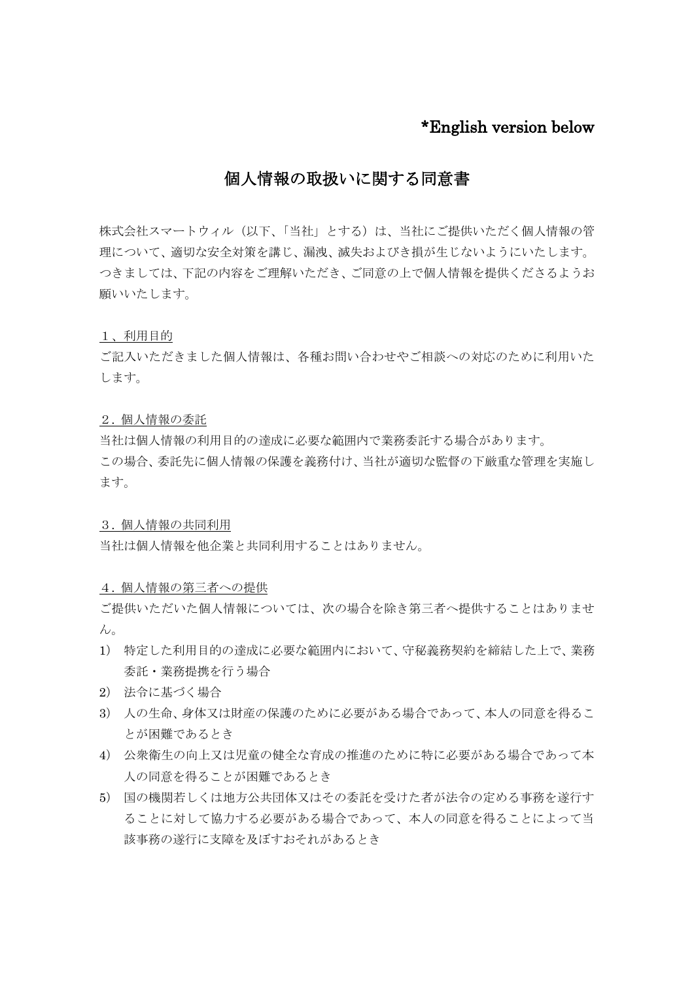# \*English version below

# 個人情報の取扱いに関する同意書

株式会社スマートウィル(以下、「当社」とする)は、当社にご提供いただく個人情報の管 理について、適切な安全対策を講じ、漏洩、滅失およびき損が生じないようにいたします。 つきましては、下記の内容をご理解いただき、ご同意の上で個人情報を提供くださるようお 願いいたします。

1、利用目的

ご記入いただきました個人情報は、各種お問い合わせやご相談への対応のために利用いた します。

### 2. 個人情報の委託

当社は個人情報の利用目的の達成に必要な範囲内で業務委託する場合があります。 この場合、委託先に個人情報の保護を義務付け、当社が適切な監督の下厳重な管理を実施し ます。

#### 3. 個人情報の共同利用

当社は個人情報を他企業と共同利用することはありません。

# 4. 個人情報の第三者への提供

ご提供いただいた個人情報については、次の場合を除き第三者へ提供することはありませ  $h_{\circ}$ 

- 1) 特定した利用目的の達成に必要な範囲内において、守秘義務契約を締結した上で、業務 委託・業務提携を行う場合
- 2) 法令に基づく場合
- 3) 人の生命、身体又は財産の保護のために必要がある場合であって、本人の同意を得るこ とが困難であるとき
- 4) 公衆衛生の向上又は児童の健全な育成の推進のために特に必要がある場合であって本 人の同意を得ることが困難であるとき
- 5) 国の機関若しくは地方公共団体又はその委託を受けた者が法令の定める事務を遂行す ることに対して協力する必要がある場合であって、本人の同意を得ることによって当 該事務の遂行に支障を及ぼすおそれがあるとき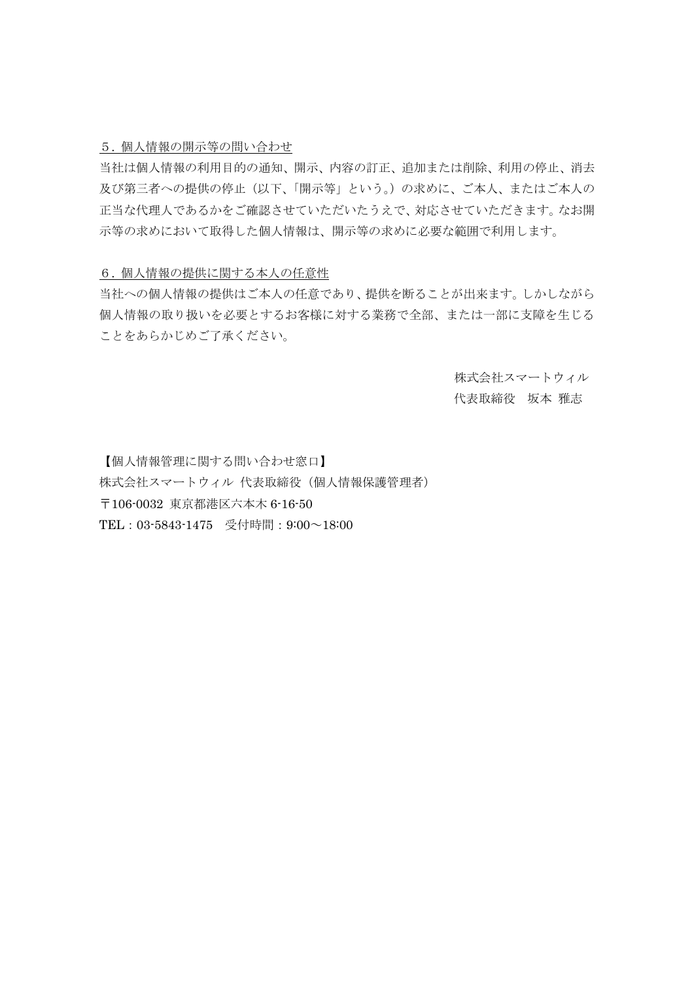### 5. 個人情報の開示等の問い合わせ

当社は個人情報の利用目的の通知、開示、内容の訂正、追加または削除、利用の停止、消去 及び第三者への提供の停止(以下、「開示等」という。)の求めに、ご本人、またはご本人の 正当な代理人であるかをご確認させていただいたうえで、対応させていただきます。なお開 示等の求めにおいて取得した個人情報は、開示等の求めに必要な範囲で利用します。

#### 6. 個人情報の提供に関する本人の任意性

当社への個人情報の提供はご本人の任意であり、提供を断ることが出来ます。しかしながら 個人情報の取り扱いを必要とするお客様に対する業務で全部、または一部に支障を生じる ことをあらかじめご了承ください。

> 株式会社スマートウィル 代表取締役 坂本 雅志

【個人情報管理に関する問い合わせ窓口】 株式会社スマートウィル 代表取締役(個人情報保護管理者) 〒106-0032 東京都港区六本木 6-16-50 TEL:03-5843-1475 受付時間:9:00~18:00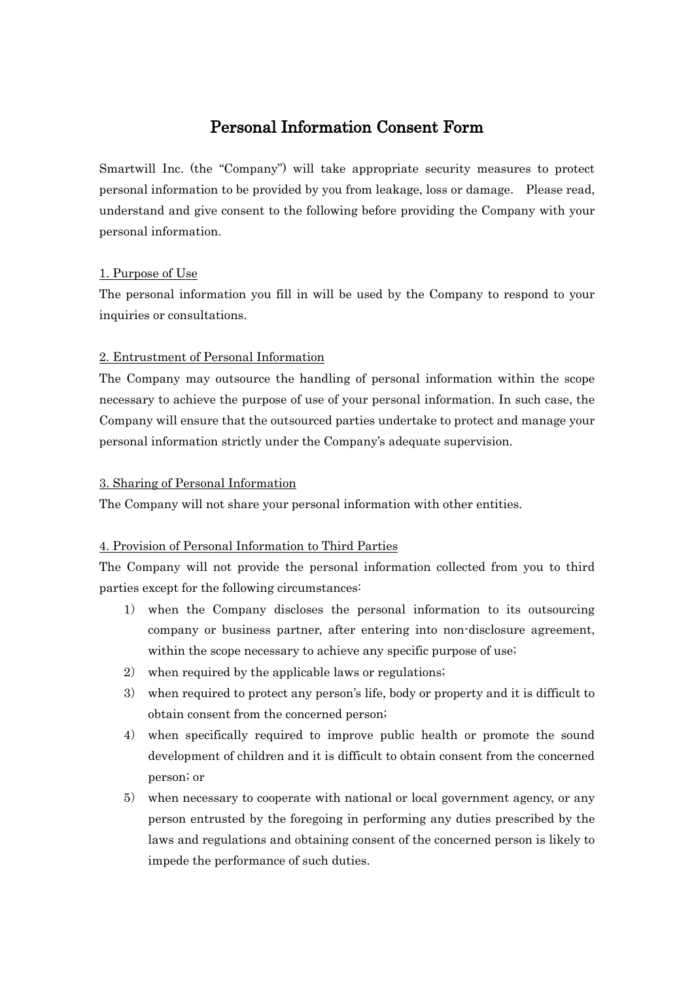# Personal Information Consent Form

Smartwill Inc. (the "Company") will take appropriate security measures to protect personal information to be provided by you from leakage, loss or damage. Please read, understand and give consent to the following before providing the Company with your personal information.

## 1. Purpose of Use

The personal information you fill in will be used by the Company to respond to your inquiries or consultations.

## 2. Entrustment of Personal Information

The Company may outsource the handling of personal information within the scope necessary to achieve the purpose of use of your personal information. In such case, the Company will ensure that the outsourced parties undertake to protect and manage your personal information strictly under the Company's adequate supervision.

### 3. Sharing of Personal Information

The Company will not share your personal information with other entities.

# 4. Provision of Personal Information to Third Parties

The Company will not provide the personal information collected from you to third parties except for the following circumstances:

- 1) when the Company discloses the personal information to its outsourcing company or business partner, after entering into non-disclosure agreement, within the scope necessary to achieve any specific purpose of use;
- 2) when required by the applicable laws or regulations;
- 3) when required to protect any person's life, body or property and it is difficult to obtain consent from the concerned person;
- 4) when specifically required to improve public health or promote the sound development of children and it is difficult to obtain consent from the concerned person; or
- 5) when necessary to cooperate with national or local government agency, or any person entrusted by the foregoing in performing any duties prescribed by the laws and regulations and obtaining consent of the concerned person is likely to impede the performance of such duties.